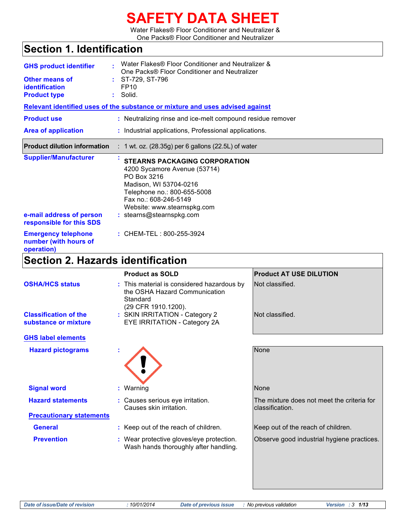# **SAFETY DATA SHEET**

Water Flakes® Floor Conditioner and Neutralizer & One Packs® Floor Conditioner and Neutralizer

# **Section 1. Identification**

| <b>GHS product identifier</b><br>Other means of<br>identification<br><b>Product type</b> | Water Flakes® Floor Conditioner and Neutralizer &<br>One Packs® Floor Conditioner and Neutralizer<br>$:$ ST-729, ST-796<br>FP <sub>10</sub><br>$:$ Solid.                                                                        |
|------------------------------------------------------------------------------------------|----------------------------------------------------------------------------------------------------------------------------------------------------------------------------------------------------------------------------------|
|                                                                                          | Relevant identified uses of the substance or mixture and uses advised against                                                                                                                                                    |
| <b>Product use</b>                                                                       | : Neutralizing rinse and ice-melt compound residue remover                                                                                                                                                                       |
| <b>Area of application</b>                                                               | : Industrial applications, Professional applications.                                                                                                                                                                            |
| <b>Product dilution information</b>                                                      | $: 1$ wt. oz. (28.35g) per 6 gallons (22.5L) of water                                                                                                                                                                            |
| <b>Supplier/Manufacturer</b><br>e-mail address of person<br>responsible for this SDS     | <b>STEARNS PACKAGING CORPORATION</b><br>4200 Sycamore Avenue (53714)<br>PO Box 3216<br>Madison, WI 53704-0216<br>Telephone no.: 800-655-5008<br>Fax no.: 608-246-5149<br>Website: www.stearnspkg.com<br>: stearns@stearnspkg.com |
| <b>Emergency telephone</b><br>number (with hours of<br>operation)                        | : CHEM-TEL: 800-255-3924                                                                                                                                                                                                         |

# **Section 2. Hazards identification**

|                                                      | <b>Product as SOLD</b>                                                                                         | <b>Product AT USE DILUTION</b>                                |
|------------------------------------------------------|----------------------------------------------------------------------------------------------------------------|---------------------------------------------------------------|
| <b>OSHA/HCS status</b>                               | : This material is considered hazardous by<br>the OSHA Hazard Communication<br>Standard<br>(29 CFR 1910.1200). | Not classified.                                               |
| <b>Classification of the</b><br>substance or mixture | : SKIN IRRITATION - Category 2<br>EYE IRRITATION - Category 2A                                                 | Not classified.                                               |
| <b>GHS label elements</b>                            |                                                                                                                |                                                               |
| <b>Hazard pictograms</b>                             |                                                                                                                | None                                                          |
| <b>Signal word</b>                                   | : Warning                                                                                                      | None                                                          |
| <b>Hazard statements</b>                             | : Causes serious eye irritation.<br>Causes skin irritation.                                                    | The mixture does not meet the criteria for<br>classification. |
| <b>Precautionary statements</b>                      |                                                                                                                |                                                               |
| <b>General</b>                                       | : Keep out of the reach of children.                                                                           | Keep out of the reach of children.                            |
| <b>Prevention</b>                                    | : Wear protective gloves/eye protection.<br>Wash hands thoroughly after handling.                              | Observe good industrial hygiene practices.                    |
|                                                      |                                                                                                                |                                                               |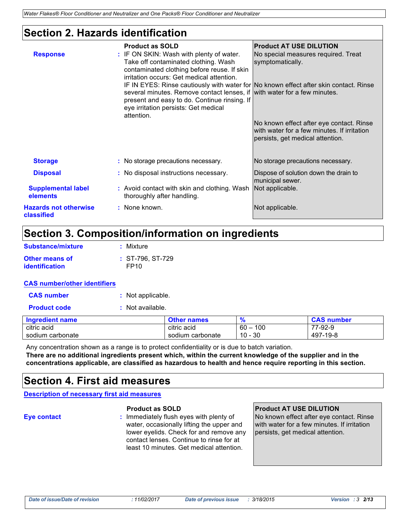## **Section 2. Hazards identification**

| <b>Storage</b><br>: No storage precautions necessary.<br>No storage precautions necessary.<br>: No disposal instructions necessary.<br><b>Disposal</b><br>Dispose of solution down the drain to<br>municipal sewer.<br>Not applicable.<br><b>Supplemental label</b><br>: Avoid contact with skin and clothing. Wash<br>elements<br>thoroughly after handling.<br><b>Hazards not otherwise</b><br>: None known.<br>Not applicable.<br>classified | <b>Response</b> | <b>Product as SOLD</b><br>: IF ON SKIN: Wash with plenty of water.<br>Take off contaminated clothing. Wash<br>contaminated clothing before reuse. If skin<br>irritation occurs: Get medical attention.<br>several minutes. Remove contact lenses, if with water for a few minutes.<br>present and easy to do. Continue rinsing. If<br>eye irritation persists: Get medical<br>attention. | <b>Product AT USE DILUTION</b><br>No special measures required. Treat<br>symptomatically.<br>IF IN EYES: Rinse cautiously with water for No known effect after skin contact. Rinse<br>No known effect after eye contact. Rinse<br>with water for a few minutes. If irritation<br>persists, get medical attention. |
|-------------------------------------------------------------------------------------------------------------------------------------------------------------------------------------------------------------------------------------------------------------------------------------------------------------------------------------------------------------------------------------------------------------------------------------------------|-----------------|------------------------------------------------------------------------------------------------------------------------------------------------------------------------------------------------------------------------------------------------------------------------------------------------------------------------------------------------------------------------------------------|-------------------------------------------------------------------------------------------------------------------------------------------------------------------------------------------------------------------------------------------------------------------------------------------------------------------|
|                                                                                                                                                                                                                                                                                                                                                                                                                                                 |                 |                                                                                                                                                                                                                                                                                                                                                                                          |                                                                                                                                                                                                                                                                                                                   |
|                                                                                                                                                                                                                                                                                                                                                                                                                                                 |                 |                                                                                                                                                                                                                                                                                                                                                                                          |                                                                                                                                                                                                                                                                                                                   |
|                                                                                                                                                                                                                                                                                                                                                                                                                                                 |                 |                                                                                                                                                                                                                                                                                                                                                                                          |                                                                                                                                                                                                                                                                                                                   |
|                                                                                                                                                                                                                                                                                                                                                                                                                                                 |                 |                                                                                                                                                                                                                                                                                                                                                                                          |                                                                                                                                                                                                                                                                                                                   |

### **Section 3. Composition/information on ingredients**

| Substance/mixture     | : Mixture          |
|-----------------------|--------------------|
| <b>Other means of</b> | $: ST-796. ST-729$ |
| <i>identification</i> | FP <sub>10</sub>   |

#### **CAS number/other identifiers**

| <b>CAS number</b> | : Not applicable. |
|-------------------|-------------------|
|                   |                   |

**Product code :** Not available.

| Ingredient name  | <b>Other names</b> |               | <b>CAS number</b> |
|------------------|--------------------|---------------|-------------------|
| citric acid      | citric acid        | 100<br>$60 -$ | 77-92-9           |
| sodium carbonate | sodium carbonate   | $10 - 30$     | 497-19-8          |

Any concentration shown as a range is to protect confidentiality or is due to batch variation. **There are no additional ingredients present which, within the current knowledge of the supplier and in the concentrations applicable, are classified as hazardous to health and hence require reporting in this section.**

### **Section 4. First aid measures**

**Description of necessary first aid measures**

**Eye contact :** Immediately flush eyes with plenty of water, occasionally lifting the upper and lower eyelids. Check for and remove any contact lenses. Continue to rinse for at least 10 minutes. Get medical attention.

### **Product as SOLD Product AT USE DILUTION**

No known effect after eye contact. Rinse with water for a few minutes. If irritation persists, get medical attention.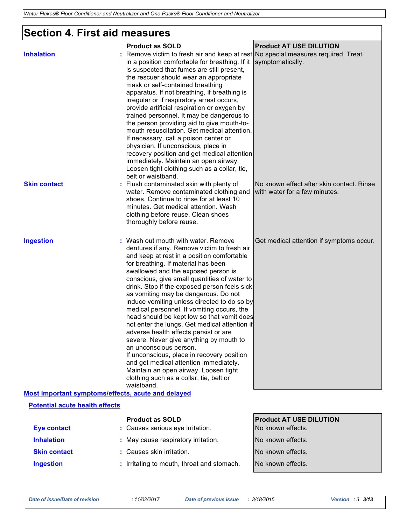## **Section 4. First aid measures**

|                                                    | <b>Product as SOLD</b>                                                                                                                                                                                                                                                                                                                                                                                                                                                                                                                                                                                                                                                                                                                                                                                                                                     | <b>Product AT USE DILUTION</b>                                             |
|----------------------------------------------------|------------------------------------------------------------------------------------------------------------------------------------------------------------------------------------------------------------------------------------------------------------------------------------------------------------------------------------------------------------------------------------------------------------------------------------------------------------------------------------------------------------------------------------------------------------------------------------------------------------------------------------------------------------------------------------------------------------------------------------------------------------------------------------------------------------------------------------------------------------|----------------------------------------------------------------------------|
| <b>Inhalation</b>                                  | : Remove victim to fresh air and keep at rest No special measures required. Treat<br>in a position comfortable for breathing. If it<br>is suspected that fumes are still present,<br>the rescuer should wear an appropriate<br>mask or self-contained breathing<br>apparatus. If not breathing, if breathing is<br>irregular or if respiratory arrest occurs,<br>provide artificial respiration or oxygen by<br>trained personnel. It may be dangerous to<br>the person providing aid to give mouth-to-<br>mouth resuscitation. Get medical attention.<br>If necessary, call a poison center or<br>physician. If unconscious, place in<br>recovery position and get medical attention<br>immediately. Maintain an open airway.<br>Loosen tight clothing such as a collar, tie,<br>belt or waistband.                                                       | symptomatically.                                                           |
| <b>Skin contact</b>                                | Flush contaminated skin with plenty of<br>water. Remove contaminated clothing and<br>shoes. Continue to rinse for at least 10<br>minutes. Get medical attention. Wash<br>clothing before reuse. Clean shoes<br>thoroughly before reuse.                                                                                                                                                                                                                                                                                                                                                                                                                                                                                                                                                                                                                    | No known effect after skin contact. Rinse<br>with water for a few minutes. |
| <b>Ingestion</b>                                   | : Wash out mouth with water. Remove<br>dentures if any. Remove victim to fresh air<br>and keep at rest in a position comfortable<br>for breathing. If material has been<br>swallowed and the exposed person is<br>conscious, give small quantities of water to<br>drink. Stop if the exposed person feels sick<br>as vomiting may be dangerous. Do not<br>induce vomiting unless directed to do so by<br>medical personnel. If vomiting occurs, the<br>head should be kept low so that vomit does<br>not enter the lungs. Get medical attention if<br>adverse health effects persist or are<br>severe. Never give anything by mouth to<br>an unconscious person.<br>If unconscious, place in recovery position<br>and get medical attention immediately.<br>Maintain an open airway. Loosen tight<br>clothing such as a collar, tie, belt or<br>waistband. | Get medical attention if symptoms occur.                                   |
| Most important symptoms/effects, acute and delayed |                                                                                                                                                                                                                                                                                                                                                                                                                                                                                                                                                                                                                                                                                                                                                                                                                                                            |                                                                            |
| <b>Potential acute health effects</b>              |                                                                                                                                                                                                                                                                                                                                                                                                                                                                                                                                                                                                                                                                                                                                                                                                                                                            |                                                                            |
| <b>Eye contact</b>                                 | <b>Product as SOLD</b><br>: Causes serious eye irritation.                                                                                                                                                                                                                                                                                                                                                                                                                                                                                                                                                                                                                                                                                                                                                                                                 | <b>Product AT USE DILUTION</b><br>No known effects.                        |
| <b>Inhalation</b>                                  | : May cause respiratory irritation.                                                                                                                                                                                                                                                                                                                                                                                                                                                                                                                                                                                                                                                                                                                                                                                                                        | No known effects.                                                          |
| <b>Skin contact</b>                                | : Causes skin irritation.                                                                                                                                                                                                                                                                                                                                                                                                                                                                                                                                                                                                                                                                                                                                                                                                                                  | No known effects.                                                          |
| <b>Ingestion</b>                                   | : Irritating to mouth, throat and stomach.                                                                                                                                                                                                                                                                                                                                                                                                                                                                                                                                                                                                                                                                                                                                                                                                                 | No known effects.                                                          |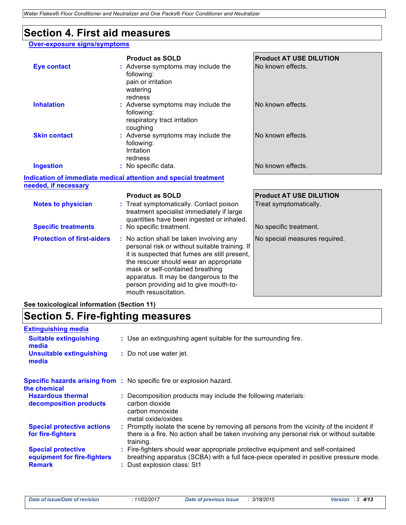### **Section 4. First aid measures**

### **Over-exposure signs/symptoms**

|                                   | <b>Product as SOLD</b>                                                                                                                      | <b>Product AT USE DILUTION</b> |
|-----------------------------------|---------------------------------------------------------------------------------------------------------------------------------------------|--------------------------------|
| <b>Eye contact</b>                | : Adverse symptoms may include the<br>following:<br>pain or irritation<br>watering<br>redness                                               | No known effects.              |
| <b>Inhalation</b>                 | : Adverse symptoms may include the<br>following:<br>respiratory tract irritation<br>coughing                                                | No known effects.              |
| <b>Skin contact</b>               | : Adverse symptoms may include the<br>following:<br>Irritation<br>redness                                                                   | No known effects.              |
| <b>Ingestion</b>                  | : No specific data.                                                                                                                         | No known effects.              |
|                                   | Indication of immediate medical attention and special treatment                                                                             |                                |
| needed, if necessary              |                                                                                                                                             |                                |
|                                   | <b>Product as SOLD</b>                                                                                                                      | <b>Product AT USE DILUTION</b> |
| <b>Notes to physician</b>         | : Treat symptomatically. Contact poison<br>treatment specialist immediately if large<br>quantities have been ingested or inhaled.           | Treat symptomatically.         |
| <b>Specific treatments</b>        | : No specific treatment.                                                                                                                    | No specific treatment.         |
| <b>Protection of first-aiders</b> | : No action shall be taken involving any<br>personal risk or without suitable training. If<br>it is suspected that fumes are still present, | No special measures required.  |

the rescuer should wear an appropriate mask or self-contained breathing apparatus. It may be dangerous to the person providing aid to give mouth-to-

mouth resuscitation.

### **See toxicological information (Section 11)**

## **Section 5. Fire-fighting measures**

| <b>Extinguishing media</b>                                                |                                                                                                                                                                                                         |
|---------------------------------------------------------------------------|---------------------------------------------------------------------------------------------------------------------------------------------------------------------------------------------------------|
| <b>Suitable extinguishing</b><br>media                                    | : Use an extinguishing agent suitable for the surrounding fire.                                                                                                                                         |
| <b>Unsuitable extinguishing</b><br>media                                  | : Do not use water jet.                                                                                                                                                                                 |
| the chemical                                                              | <b>Specific hazards arising from :</b> No specific fire or explosion hazard.                                                                                                                            |
| <b>Hazardous thermal</b><br>decomposition products                        | : Decomposition products may include the following materials:<br>carbon dioxide<br>carbon monoxide<br>metal oxide/oxides                                                                                |
| <b>Special protective actions</b><br>for fire-fighters                    | : Promptly isolate the scene by removing all persons from the vicinity of the incident if<br>there is a fire. No action shall be taken involving any personal risk or without suitable<br>training.     |
| <b>Special protective</b><br>equipment for fire-fighters<br><b>Remark</b> | : Fire-fighters should wear appropriate protective equipment and self-contained<br>breathing apparatus (SCBA) with a full face-piece operated in positive pressure mode.<br>: Dust explosion class: St1 |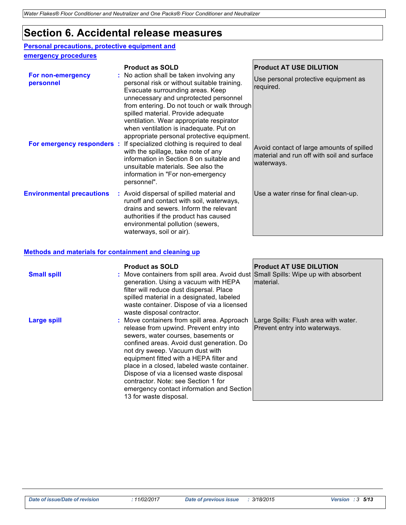### **Section 6. Accidental release measures**

### **Personal precautions, protective equipment and**

### **emergency procedures**

|                                                              | <b>Product as SOLD</b>                                                                                                                                                                                                                                                                                                                                                                                                                                                                                                          | <b>Product AT USE DILUTION</b>                                                                                                                             |
|--------------------------------------------------------------|---------------------------------------------------------------------------------------------------------------------------------------------------------------------------------------------------------------------------------------------------------------------------------------------------------------------------------------------------------------------------------------------------------------------------------------------------------------------------------------------------------------------------------|------------------------------------------------------------------------------------------------------------------------------------------------------------|
| For non-emergency<br>personnel<br>For emergency responders : | : No action shall be taken involving any<br>personal risk or without suitable training.<br>Evacuate surrounding areas. Keep<br>unnecessary and unprotected personnel<br>from entering. Do not touch or walk through<br>spilled material. Provide adequate<br>ventilation. Wear appropriate respirator<br>when ventilation is inadequate. Put on<br>appropriate personal protective equipment.<br>If specialized clothing is required to deal<br>with the spillage, take note of any<br>information in Section 8 on suitable and | Use personal protective equipment as<br>required.<br>Avoid contact of large amounts of spilled<br>material and run off with soil and surface<br>waterways. |
| <b>Environmental precautions</b>                             | unsuitable materials. See also the<br>information in "For non-emergency"<br>personnel".<br>: Avoid dispersal of spilled material and                                                                                                                                                                                                                                                                                                                                                                                            | Use a water rinse for final clean-up.                                                                                                                      |
|                                                              | runoff and contact with soil, waterways,<br>drains and sewers. Inform the relevant<br>authorities if the product has caused<br>environmental pollution (sewers,<br>waterways, soil or air).                                                                                                                                                                                                                                                                                                                                     |                                                                                                                                                            |

#### **Methods and materials for containment and cleaning up**

| <b>Small spill</b> | <b>Product as SOLD</b><br>: Move containers from spill area. Avoid dust Small Spills: Wipe up with absorbent<br>generation. Using a vacuum with HEPA<br>filter will reduce dust dispersal. Place<br>spilled material in a designated, labeled<br>waste container. Dispose of via a licensed<br>waste disposal contractor.                                                                                                                                         | <b>Product AT USE DILUTION</b><br>material.                           |
|--------------------|-------------------------------------------------------------------------------------------------------------------------------------------------------------------------------------------------------------------------------------------------------------------------------------------------------------------------------------------------------------------------------------------------------------------------------------------------------------------|-----------------------------------------------------------------------|
| <b>Large spill</b> | : Move containers from spill area. Approach<br>release from upwind. Prevent entry into<br>sewers, water courses, basements or<br>confined areas. Avoid dust generation. Do<br>not dry sweep. Vacuum dust with<br>equipment fitted with a HEPA filter and<br>place in a closed, labeled waste container.<br>Dispose of via a licensed waste disposal<br>contractor. Note: see Section 1 for<br>emergency contact information and Section<br>13 for waste disposal. | Large Spills: Flush area with water.<br>Prevent entry into waterways. |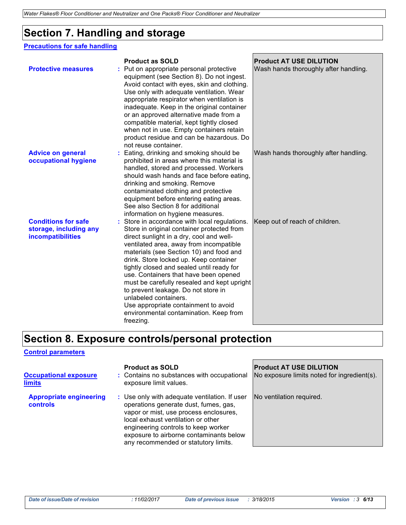# **Section 7. Handling and storage**

#### **Precautions for safe handling**

|                                                                           | <b>Product as SOLD</b>                                                                                                                                                                                                                                                                                                                                                                                                                                                                                                                                                      | <b>Product AT USE DILUTION</b>        |
|---------------------------------------------------------------------------|-----------------------------------------------------------------------------------------------------------------------------------------------------------------------------------------------------------------------------------------------------------------------------------------------------------------------------------------------------------------------------------------------------------------------------------------------------------------------------------------------------------------------------------------------------------------------------|---------------------------------------|
| <b>Protective measures</b>                                                | Put on appropriate personal protective<br>equipment (see Section 8). Do not ingest.<br>Avoid contact with eyes, skin and clothing.<br>Use only with adequate ventilation. Wear<br>appropriate respirator when ventilation is<br>inadequate. Keep in the original container<br>or an approved alternative made from a<br>compatible material, kept tightly closed<br>when not in use. Empty containers retain<br>product residue and can be hazardous. Do<br>not reuse container.                                                                                            | Wash hands thoroughly after handling. |
| <b>Advice on general</b><br>occupational hygiene                          | Eating, drinking and smoking should be<br>prohibited in areas where this material is<br>handled, stored and processed. Workers<br>should wash hands and face before eating,<br>drinking and smoking. Remove<br>contaminated clothing and protective<br>equipment before entering eating areas.<br>See also Section 8 for additional<br>information on hygiene measures.                                                                                                                                                                                                     | Wash hands thoroughly after handling. |
| <b>Conditions for safe</b><br>storage, including any<br>incompatibilities | : Store in accordance with local regulations.<br>Store in original container protected from<br>direct sunlight in a dry, cool and well-<br>ventilated area, away from incompatible<br>materials (see Section 10) and food and<br>drink. Store locked up. Keep container<br>tightly closed and sealed until ready for<br>use. Containers that have been opened<br>must be carefully resealed and kept upright<br>to prevent leakage. Do not store in<br>unlabeled containers.<br>Use appropriate containment to avoid<br>environmental contamination. Keep from<br>freezing. | Keep out of reach of children.        |

### **Section 8. Exposure controls/personal protection**

#### **Control parameters**

| <b>Occupational exposure</b><br>limits            | <b>Product as SOLD</b><br>: Contains no substances with occupational<br>exposure limit values.                                                                                                                                                                                                   | <b>Product AT USE DILUTION</b><br>No exposure limits noted for ingredient(s). |
|---------------------------------------------------|--------------------------------------------------------------------------------------------------------------------------------------------------------------------------------------------------------------------------------------------------------------------------------------------------|-------------------------------------------------------------------------------|
| <b>Appropriate engineering</b><br><b>controls</b> | : Use only with adequate ventilation. If user<br>operations generate dust, fumes, gas,<br>vapor or mist, use process enclosures,<br>local exhaust ventilation or other<br>engineering controls to keep worker<br>exposure to airborne contaminants below<br>any recommended or statutory limits. | No ventilation required.                                                      |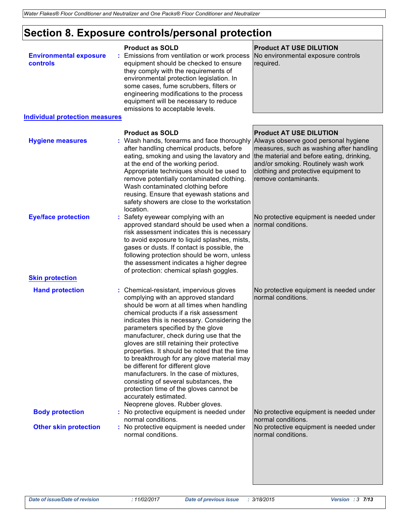# **Section 8. Exposure controls/personal protection**

| <b>Environmental exposure</b><br>controls              | <b>Product as SOLD</b><br>Emissions from ventilation or work process<br>equipment should be checked to ensure<br>they comply with the requirements of<br>environmental protection legislation. In<br>some cases, fume scrubbers, filters or<br>engineering modifications to the process<br>equipment will be necessary to reduce<br>emissions to acceptable levels.                                                                                                                                                                                                                                                                                                               | <b>Product AT USE DILUTION</b><br>No environmental exposure controls<br>required.                                                                                                                                                                                      |
|--------------------------------------------------------|-----------------------------------------------------------------------------------------------------------------------------------------------------------------------------------------------------------------------------------------------------------------------------------------------------------------------------------------------------------------------------------------------------------------------------------------------------------------------------------------------------------------------------------------------------------------------------------------------------------------------------------------------------------------------------------|------------------------------------------------------------------------------------------------------------------------------------------------------------------------------------------------------------------------------------------------------------------------|
| <b>Individual protection measures</b>                  |                                                                                                                                                                                                                                                                                                                                                                                                                                                                                                                                                                                                                                                                                   |                                                                                                                                                                                                                                                                        |
| <b>Hygiene measures</b>                                | <b>Product as SOLD</b><br>: Wash hands, forearms and face thoroughly<br>after handling chemical products, before<br>eating, smoking and using the lavatory and<br>at the end of the working period.<br>Appropriate techniques should be used to<br>remove potentially contaminated clothing.<br>Wash contaminated clothing before<br>reusing. Ensure that eyewash stations and<br>safety showers are close to the workstation<br>location.                                                                                                                                                                                                                                        | <b>Product AT USE DILUTION</b><br>Always observe good personal hygiene<br>measures, such as washing after handling<br>the material and before eating, drinking,<br>and/or smoking. Routinely wash work<br>clothing and protective equipment to<br>remove contaminants. |
| <b>Eye/face protection</b><br><b>Skin protection</b>   | Safety eyewear complying with an<br>approved standard should be used when a<br>risk assessment indicates this is necessary<br>to avoid exposure to liquid splashes, mists,<br>gases or dusts. If contact is possible, the<br>following protection should be worn, unless<br>the assessment indicates a higher degree<br>of protection: chemical splash goggles.                                                                                                                                                                                                                                                                                                                   | No protective equipment is needed under<br>normal conditions.                                                                                                                                                                                                          |
| <b>Hand protection</b>                                 | : Chemical-resistant, impervious gloves<br>complying with an approved standard<br>should be worn at all times when handling<br>chemical products if a risk assessment<br>indicates this is necessary. Considering the<br>parameters specified by the glove<br>manufacturer, check during use that the<br>gloves are still retaining their protective<br>properties. It should be noted that the time<br>to breakthrough for any glove material may<br>be different for different glove<br>manufacturers. In the case of mixtures,<br>consisting of several substances, the<br>protection time of the gloves cannot be<br>accurately estimated.<br>Neoprene gloves. Rubber gloves. | No protective equipment is needed under<br>normal conditions.                                                                                                                                                                                                          |
| <b>Body protection</b><br><b>Other skin protection</b> | : No protective equipment is needed under<br>normal conditions.<br>: No protective equipment is needed under<br>normal conditions.                                                                                                                                                                                                                                                                                                                                                                                                                                                                                                                                                | No protective equipment is needed under<br>normal conditions.<br>No protective equipment is needed under<br>normal conditions.                                                                                                                                         |
|                                                        |                                                                                                                                                                                                                                                                                                                                                                                                                                                                                                                                                                                                                                                                                   |                                                                                                                                                                                                                                                                        |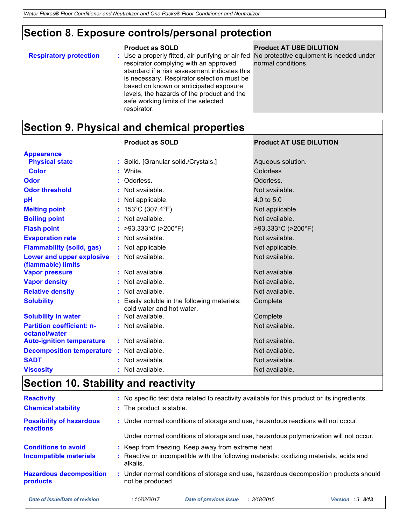# **Section 8. Exposure controls/personal protection**

|                               | <b>Product as SOLD</b>                                                                                                                                                                                                                                                                                                                                                         | <b>Product AT USE DILUTION</b> |
|-------------------------------|--------------------------------------------------------------------------------------------------------------------------------------------------------------------------------------------------------------------------------------------------------------------------------------------------------------------------------------------------------------------------------|--------------------------------|
| <b>Respiratory protection</b> | : Use a properly fitted, air-purifying or air-fed No protective equipment is needed under<br>respirator complying with an approved<br>standard if a risk assessment indicates this<br>is necessary. Respirator selection must be<br>based on known or anticipated exposure<br>levels, the hazards of the product and the<br>safe working limits of the selected<br>respirator. | normal conditions.             |
|                               |                                                                                                                                                                                                                                                                                                                                                                                |                                |

# **Section 9. Physical and chemical properties**

|                                                        | <b>Product as SOLD</b>                                                    | <b>Product AT USE DILUTION</b> |
|--------------------------------------------------------|---------------------------------------------------------------------------|--------------------------------|
| <b>Appearance</b>                                      |                                                                           |                                |
| <b>Physical state</b>                                  | : Solid. [Granular solid./Crystals.]                                      | Aqueous solution.              |
| <b>Color</b>                                           | : White.                                                                  | Colorless                      |
| Odor                                                   | : Odorless.                                                               | Odorless.                      |
| <b>Odor threshold</b>                                  | : Not available.                                                          | Not available.                 |
| pH                                                     | : Not applicable.                                                         | 4.0 to 5.0                     |
| <b>Melting point</b>                                   | : $153^{\circ}$ C (307.4 $^{\circ}$ F)                                    | Not applicable                 |
| <b>Boiling point</b>                                   | : Not available.                                                          | Not available.                 |
| <b>Flash point</b>                                     | : >93.333°C (>200°F)                                                      | >93.333°C (>200°F)             |
| <b>Evaporation rate</b>                                | : Not available.                                                          | Not available.                 |
| <b>Flammability (solid, gas)</b>                       | : Not applicable.                                                         | Not applicable.                |
| <b>Lower and upper explosive</b><br>(flammable) limits | : Not available.                                                          | Not available.                 |
| <b>Vapor pressure</b>                                  | : Not available.                                                          | Not available.                 |
| <b>Vapor density</b>                                   | : Not available.                                                          | Not available.                 |
| <b>Relative density</b>                                | : Not available.                                                          | Not available.                 |
| <b>Solubility</b>                                      | : Easily soluble in the following materials:<br>cold water and hot water. | Complete                       |
| <b>Solubility in water</b>                             | : Not available.                                                          | Complete                       |
| <b>Partition coefficient: n-</b><br>octanol/water      | : Not available.                                                          | Not available.                 |
| <b>Auto-ignition temperature</b>                       | : Not available.                                                          | Not available.                 |
| <b>Decomposition temperature</b>                       | : Not available.                                                          | Not available.                 |
| <b>SADT</b>                                            | : Not available.                                                          | Not available.                 |
| <b>Viscosity</b>                                       | : Not available.                                                          | Not available.                 |

# **Section 10. Stability and reactivity**

| <b>Reactivity</b><br><b>Chemical stability</b>              | : No specific test data related to reactivity available for this product or its ingredients.<br>: The product is stable.                                  |  |  |
|-------------------------------------------------------------|-----------------------------------------------------------------------------------------------------------------------------------------------------------|--|--|
| <b>Possibility of hazardous</b><br>reactions                | : Under normal conditions of storage and use, hazardous reactions will not occur.                                                                         |  |  |
|                                                             | Under normal conditions of storage and use, hazardous polymerization will not occur.                                                                      |  |  |
| <b>Conditions to avoid</b><br><b>Incompatible materials</b> | : Keep from freezing. Keep away from extreme heat.<br>: Reactive or incompatible with the following materials: oxidizing materials, acids and<br>alkalis. |  |  |
| <b>Hazardous decomposition</b><br>products                  | : Under normal conditions of storage and use, hazardous decomposition products should<br>not be produced.                                                 |  |  |
| Date of issue/Date of revision                              | <b>Date of previous issue</b><br>Version : $3\,8/13$<br>: 11/02/2017<br>: 3/18/2015                                                                       |  |  |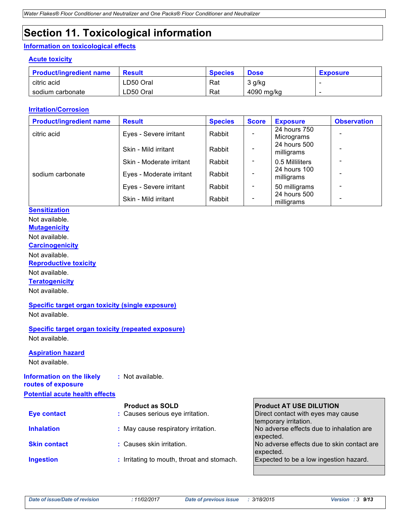# **Section 11. Toxicological information**

### **Information on toxicological effects**

#### **Acute toxicity**

| <b>Product/ingredient name</b> | <b>Result</b> | <b>Species</b> | <b>Dose</b> | <b>Exposure</b> |
|--------------------------------|---------------|----------------|-------------|-----------------|
| citric acid                    | LD50 Oral     | Rat            | 3 g/kg      |                 |
| sodium carbonate               | ∟D50 Oral     | Rat            | 4090 mg/kg  |                 |

#### **Irritation/Corrosion**

| <b>Product/ingredient name</b> | <b>Result</b>            | <b>Species</b> | <b>Score</b>             | <b>Exposure</b>            | <b>Observation</b> |
|--------------------------------|--------------------------|----------------|--------------------------|----------------------------|--------------------|
| citric acid                    | Eyes - Severe irritant   | Rabbit         |                          | 24 hours 750<br>Micrograms |                    |
|                                | Skin - Mild irritant     | Rabbit         |                          | 24 hours 500<br>milligrams |                    |
|                                | Skin - Moderate irritant | Rabbit         | $\overline{\phantom{a}}$ | 0.5 Milliliters            |                    |
| sodium carbonate               | Eyes - Moderate irritant | Rabbit         |                          | 24 hours 100<br>milligrams |                    |
|                                | Eyes - Severe irritant   | Rabbit         | $\overline{\phantom{a}}$ | 50 milligrams              |                    |
|                                | Skin - Mild irritant     | Rabbit         |                          | 24 hours 500<br>milligrams |                    |

### **Sensitization**

Not available.

**Mutagenicity**

Not available.

**Carcinogenicity**

Not available.

**Reproductive toxicity**

Not available.

**Teratogenicity**

Not available.

#### **Specific target organ toxicity (single exposure)** Not available.

**Specific target organ toxicity (repeated exposure)** Not available.

#### **Aspiration hazard**

Not available.

#### **Information on the likely :** Not available.

**routes of exposure Potential acute health effects**

|                     | <b>Product as SOLD</b>                     | <b>Product AT USE DILUTION</b>             |
|---------------------|--------------------------------------------|--------------------------------------------|
| <b>Eye contact</b>  | : Causes serious eye irritation.           | Direct contact with eyes may cause         |
|                     |                                            | temporary irritation.                      |
| <b>Inhalation</b>   | : May cause respiratory irritation.        | No adverse effects due to inhalation are   |
|                     |                                            | expected.                                  |
| <b>Skin contact</b> | : Causes skin irritation.                  | No adverse effects due to skin contact are |
|                     |                                            | expected.                                  |
| <b>Ingestion</b>    | : Irritating to mouth, throat and stomach. | Expected to be a low ingestion hazard.     |
|                     |                                            |                                            |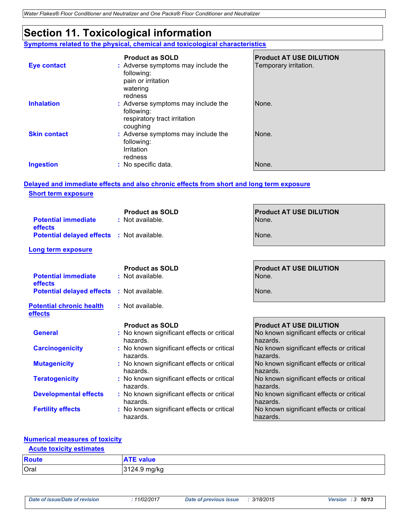# **Section 11. Toxicological information**

**Symptoms related to the physical, chemical and toxicological characteristics**

|                     | <b>Product as SOLD</b>                                                                        | <b>Product AT USE DILUTION</b> |
|---------------------|-----------------------------------------------------------------------------------------------|--------------------------------|
| <b>Eye contact</b>  | : Adverse symptoms may include the<br>following:<br>pain or irritation<br>watering<br>redness | Temporary irritation.          |
| <b>Inhalation</b>   | : Adverse symptoms may include the<br>following:<br>respiratory tract irritation<br>coughing  | None.                          |
| <b>Skin contact</b> | : Adverse symptoms may include the<br>following:<br>Irritation<br>redness                     | None.                          |
| <b>Ingestion</b>    | : No specific data.                                                                           | None.                          |

### **Delayed and immediate effects and also chronic effects from short and long term exposure Short term exposure**

|                                                   | <b>Product as SOLD</b>                                 | <b>Product AT USE DILUTION</b>                       |
|---------------------------------------------------|--------------------------------------------------------|------------------------------------------------------|
| <b>Potential immediate</b><br>effects             | : Not available.                                       | None.                                                |
| <b>Potential delayed effects : Not available.</b> |                                                        | None.                                                |
| <b>Long term exposure</b>                         |                                                        |                                                      |
|                                                   | <b>Product as SOLD</b>                                 | <b>Product AT USE DILUTION</b>                       |
| <b>Potential immediate</b><br>effects             | : Not available.                                       | None.                                                |
| <b>Potential delayed effects</b>                  | : Not available.                                       | None.                                                |
| <b>Potential chronic health</b><br>effects        | : Not available.                                       |                                                      |
|                                                   | <b>Product as SOLD</b>                                 | <b>Product AT USE DILUTION</b>                       |
| <b>General</b>                                    | : No known significant effects or critical<br>hazards. | No known significant effects or critical<br>hazards. |
| <b>Carcinogenicity</b>                            | : No known significant effects or critical<br>hazards. | No known significant effects or critical<br>hazards. |
| <b>Mutagenicity</b>                               | : No known significant effects or critical<br>hazards. | No known significant effects or critical<br>hazards. |
| <b>Teratogenicity</b>                             | : No known significant effects or critical<br>hazards. | No known significant effects or critical<br>hazards. |
| <b>Developmental effects</b>                      | : No known significant effects or critical<br>hazards. | No known significant effects or critical<br>hazards. |
| <b>Fertility effects</b>                          | : No known significant effects or critical<br>hazards. | No known significant effects or critical<br>hazards. |

### **Numerical measures of toxicity**

### **Acute toxicity estimates**

| <b>Route</b> |                 |
|--------------|-----------------|
| Oral         | e - د +.9 mg/kg |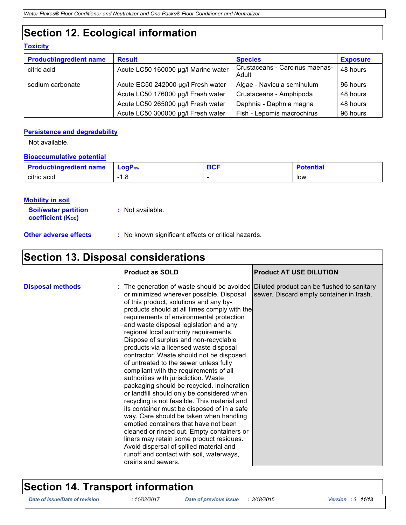# **Section 12. Ecological information**

### **Toxicity**

| <b>Product/ingredient name</b> | <b>Result</b>                       | <b>Species</b>                          | <b>Exposure</b> |
|--------------------------------|-------------------------------------|-----------------------------------------|-----------------|
| citric acid                    | Acute LC50 160000 µg/l Marine water | Crustaceans - Carcinus maenas-<br>Adult | 48 hours        |
| sodium carbonate               | Acute EC50 242000 µg/l Fresh water  | Algae - Navicula seminulum              | 96 hours        |
|                                | Acute LC50 176000 µg/l Fresh water  | Crustaceans - Amphipoda                 | 48 hours        |
|                                | Acute LC50 265000 µg/l Fresh water  | Daphnia - Daphnia magna                 | 48 hours        |
|                                | Acute LC50 300000 µg/l Fresh water  | Fish - Lepomis macrochirus              | 96 hours        |

#### **Persistence and degradability**

Not available.

#### **Bioaccumulative potential**

| <b>Product/ingredient name</b> | <b>LoaP</b> ow | <b>DAF</b><br>uv. | <b>'otential</b> |
|--------------------------------|----------------|-------------------|------------------|
| citric acid                    | 1.O            |                   | low              |

#### **Mobility in soil**

| <b>Soil/water partition</b> | : Not available. |
|-----------------------------|------------------|
| <b>coefficient (Koc)</b>    |                  |
|                             |                  |

**Other adverse effects** : No known significant effects or critical hazards.

### **Section 13. Disposal considerations**

|                         | <b>Product as SOLD</b>                                                                                                                                                                                                                                                                                                                                                                                                                                                                                                                                                                                                                                                                                                                                                                                                                                                                                                                                                                                                                                                                                        | <b>Product AT USE DILUTION</b>           |
|-------------------------|---------------------------------------------------------------------------------------------------------------------------------------------------------------------------------------------------------------------------------------------------------------------------------------------------------------------------------------------------------------------------------------------------------------------------------------------------------------------------------------------------------------------------------------------------------------------------------------------------------------------------------------------------------------------------------------------------------------------------------------------------------------------------------------------------------------------------------------------------------------------------------------------------------------------------------------------------------------------------------------------------------------------------------------------------------------------------------------------------------------|------------------------------------------|
| <b>Disposal methods</b> | : The generation of waste should be avoided Diluted product can be flushed to sanitary<br>or minimized wherever possible. Disposal<br>of this product, solutions and any by-<br>products should at all times comply with the<br>requirements of environmental protection<br>and waste disposal legislation and any<br>regional local authority requirements.<br>Dispose of surplus and non-recyclable<br>products via a licensed waste disposal<br>contractor. Waste should not be disposed<br>of untreated to the sewer unless fully<br>compliant with the requirements of all<br>authorities with jurisdiction. Waste<br>packaging should be recycled. Incineration<br>or landfill should only be considered when<br>recycling is not feasible. This material and<br>its container must be disposed of in a safe<br>way. Care should be taken when handling<br>emptied containers that have not been<br>cleaned or rinsed out. Empty containers or<br>liners may retain some product residues.<br>Avoid dispersal of spilled material and<br>runoff and contact with soil, waterways,<br>drains and sewers. | sewer. Discard empty container in trash. |

### **Section 14. Transport information**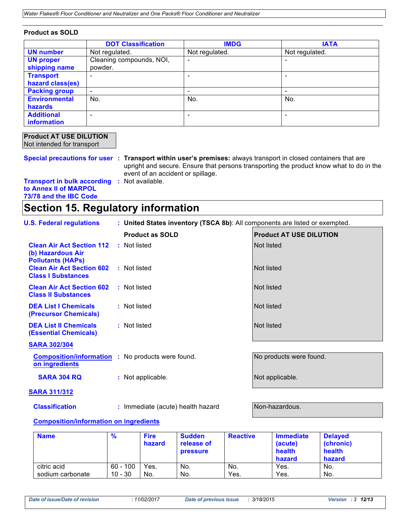| <b>Product as SOLD</b> |  |
|------------------------|--|
|------------------------|--|

|                      | <b>DOT Classification</b> | <b>IMDG</b>    | <b>IATA</b>    |
|----------------------|---------------------------|----------------|----------------|
| <b>UN number</b>     | Not regulated.            | Not regulated. | Not regulated. |
| <b>UN proper</b>     | Cleaning compounds, NOI,  | ۰              |                |
| shipping name        | powder.                   |                |                |
| <b>Transport</b>     |                           |                |                |
| hazard class(es)     |                           |                |                |
| <b>Packing group</b> | $\overline{\phantom{a}}$  | ۰              | -              |
| <b>Environmental</b> | No.                       | No.            | No.            |
| <b>hazards</b>       |                           |                |                |
| <b>Additional</b>    |                           |                |                |
| information          |                           |                |                |

| <b>Product AT USE DILUTION</b> |
|--------------------------------|
| Not intended for transport     |

**Special precautions for user : Transport within user's premises:** always transport in closed containers that are upright and secure. Ensure that persons transporting the product know what to do in the event of an accident or spillage. **Transport in bulk according :** Not available.

**to Annex II of MARPOL 73/78 and the IBC Code**

### **Section 15. Regulatory information**

| <b>U.S. Federal regulations</b>                                                   | : United States inventory (TSCA 8b): All components are listed or exempted. |                                |  |
|-----------------------------------------------------------------------------------|-----------------------------------------------------------------------------|--------------------------------|--|
|                                                                                   | <b>Product as SOLD</b>                                                      | <b>Product AT USE DILUTION</b> |  |
| <b>Clean Air Act Section 112</b><br>(b) Hazardous Air<br><b>Pollutants (HAPs)</b> | : Not listed                                                                | Not listed                     |  |
| <b>Clean Air Act Section 602</b><br><b>Class I Substances</b>                     | : Not listed                                                                | Not listed                     |  |
| <b>Clean Air Act Section 602</b><br><b>Class II Substances</b>                    | : Not listed                                                                | Not listed                     |  |
| <b>DEA List I Chemicals</b><br>(Precursor Chemicals)                              | : Not listed                                                                | Not listed                     |  |
| <b>DEA List II Chemicals</b><br><b>(Essential Chemicals)</b>                      | : Not listed                                                                | Not listed                     |  |
| <b>SARA 302/304</b>                                                               |                                                                             |                                |  |
| on ingredients                                                                    | <b>Composition/information :</b> No products were found.                    | No products were found.        |  |
| <b>SARA 304 RQ</b>                                                                | : Not applicable.                                                           | Not applicable.                |  |
| <b>SARA 311/312</b>                                                               |                                                                             |                                |  |
| <b>Classification</b>                                                             | : Immediate (acute) health hazard                                           | Non-hazardous.                 |  |

#### **Composition/information on ingredients**

| <b>Name</b>      | %          | <b>Fire</b><br>hazard | <b>Sudden</b><br>release of<br><b>pressure</b> | <b>Reactive</b> | <b>Immediate</b><br>(acute)<br>health<br>hazard | <b>Delayed</b><br>(chronic)<br>health<br>hazard |
|------------------|------------|-----------------------|------------------------------------------------|-----------------|-------------------------------------------------|-------------------------------------------------|
| citric acid      | $60 - 100$ | Yes.                  | No.                                            | No.             | Yes.                                            | No.                                             |
| sodium carbonate | $10 - 30$  | No.                   | No.                                            | Yes.            | Yes.                                            | No.                                             |

*Date of issue/Date of revision : 11/02/2017 Date of previous issue : 3/18/2015 Version : <sup>3</sup>12/<sup>13</sup>*